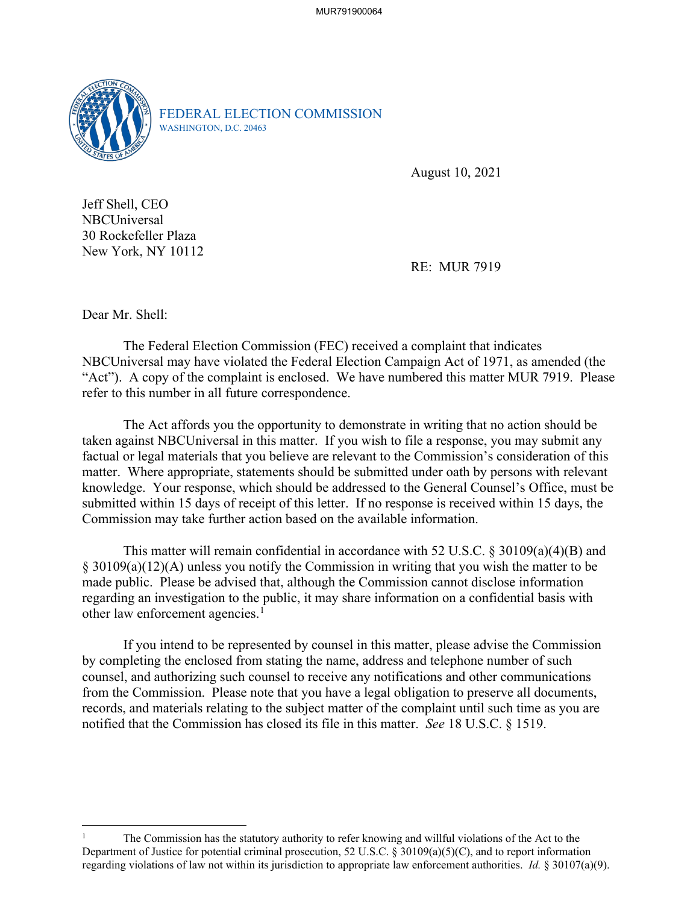MUR791900064



FEDERAL ELECTION COMMISSION WASHINGTON, D.C. 20463

August 10, 2021

Jeff Shell, CEO NBCUniversal 30 Rockefeller Plaza New York, NY 10112

RE: MUR 7919

Dear Mr. Shell:

The Federal Election Commission (FEC) received a complaint that indicates NBCUniversal may have violated the Federal Election Campaign Act of 1971, as amended (the "Act"). A copy of the complaint is enclosed. We have numbered this matter MUR 7919. Please refer to this number in all future correspondence.

 The Act affords you the opportunity to demonstrate in writing that no action should be taken against NBCUniversal in this matter. If you wish to file a response, you may submit any factual or legal materials that you believe are relevant to the Commission's consideration of this matter. Where appropriate, statements should be submitted under oath by persons with relevant knowledge. Your response, which should be addressed to the General Counsel's Office, must be submitted within 15 days of receipt of this letter. If no response is received within 15 days, the Commission may take further action based on the available information.

This matter will remain confidential in accordance with 52 U.S.C. § 30109(a)(4)(B) and § 30109(a)(12)(A) unless you notify the Commission in writing that you wish the matter to be made public. Please be advised that, although the Commission cannot disclose information regarding an investigation to the public, it may share information on a confidential basis with other law enforcement agencies.<sup>1</sup>

If you intend to be represented by counsel in this matter, please advise the Commission by completing the enclosed from stating the name, address and telephone number of such counsel, and authorizing such counsel to receive any notifications and other communications from the Commission. Please note that you have a legal obligation to preserve all documents, records, and materials relating to the subject matter of the complaint until such time as you are notified that the Commission has closed its file in this matter. *See* 18 U.S.C. § 1519.

<sup>1</sup> The Commission has the statutory authority to refer knowing and willful violations of the Act to the Department of Justice for potential criminal prosecution, 52 U.S.C. § 30109(a)(5)(C), and to report information regarding violations of law not within its jurisdiction to appropriate law enforcement authorities. *Id.* § 30107(a)(9).